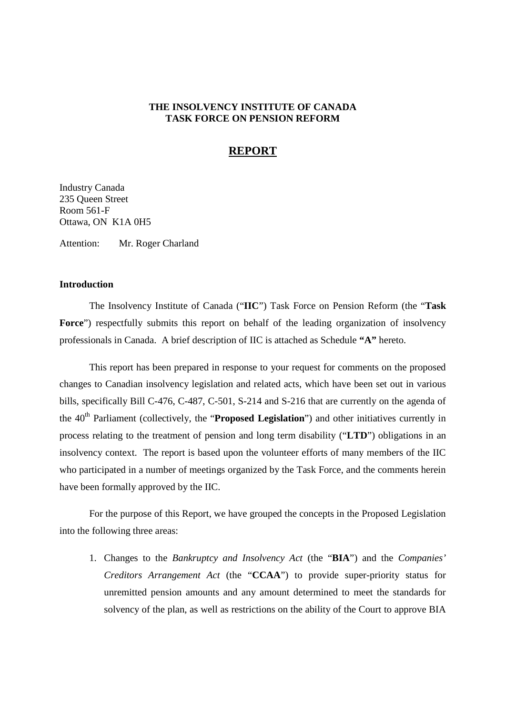# **THE INSOLVENCY INSTITUTE OF CANADA TASK FORCE ON PENSION REFORM**

# **REPORT**

Industry Canada 235 Queen Street Room 561-F Ottawa, ON K1A 0H5

Attention: Mr. Roger Charland

# **Introduction**

The Insolvency Institute of Canada ("**IIC**") Task Force on Pension Reform (the "**Task** Force") respectfully submits this report on behalf of the leading organization of insolvency professionals in Canada. A brief description of IIC is attached as Schedule **"A"** hereto.

This report has been prepared in response to your request for comments on the proposed changes to Canadian insolvency legislation and related acts, which have been set out in various bills, specifically Bill C-476, C-487, C-501, S-214 and S-216 that are currently on the agenda of the 40<sup>th</sup> Parliament (collectively, the "**Proposed Legislation**") and other initiatives currently in process relating to the treatment of pension and long term disability ("**LTD**") obligations in an insolvency context. The report is based upon the volunteer efforts of many members of the IIC who participated in a number of meetings organized by the Task Force, and the comments herein have been formally approved by the IIC.

For the purpose of this Report, we have grouped the concepts in the Proposed Legislation into the following three areas:

1. Changes to the *Bankruptcy and Insolvency Act* (the "**BIA**") and the *Companies' Creditors Arrangement Act* (the "**CCAA**") to provide super-priority status for unremitted pension amounts and any amount determined to meet the standards for solvency of the plan, as well as restrictions on the ability of the Court to approve BIA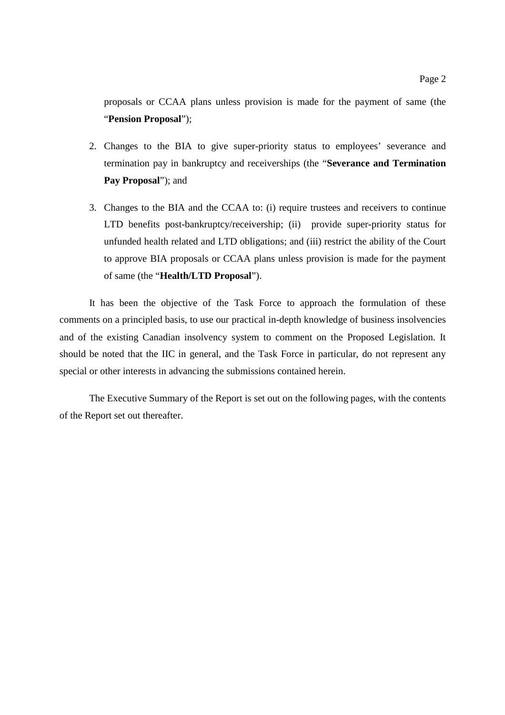proposals or CCAA plans unless provision is made for the payment of same (the "**Pension Proposal**");

- 2. Changes to the BIA to give super-priority status to employees' severance and termination pay in bankruptcy and receiverships (the "**Severance and Termination Pay Proposal**"); and
- 3. Changes to the BIA and the CCAA to: (i) require trustees and receivers to continue LTD benefits post-bankruptcy/receivership; (ii) provide super-priority status for unfunded health related and LTD obligations; and (iii) restrict the ability of the Court to approve BIA proposals or CCAA plans unless provision is made for the payment of same (the "**Health/LTD Proposal**").

It has been the objective of the Task Force to approach the formulation of these comments on a principled basis, to use our practical in-depth knowledge of business insolvencies and of the existing Canadian insolvency system to comment on the Proposed Legislation. It should be noted that the IIC in general, and the Task Force in particular, do not represent any special or other interests in advancing the submissions contained herein.

The Executive Summary of the Report is set out on the following pages, with the contents of the Report set out thereafter.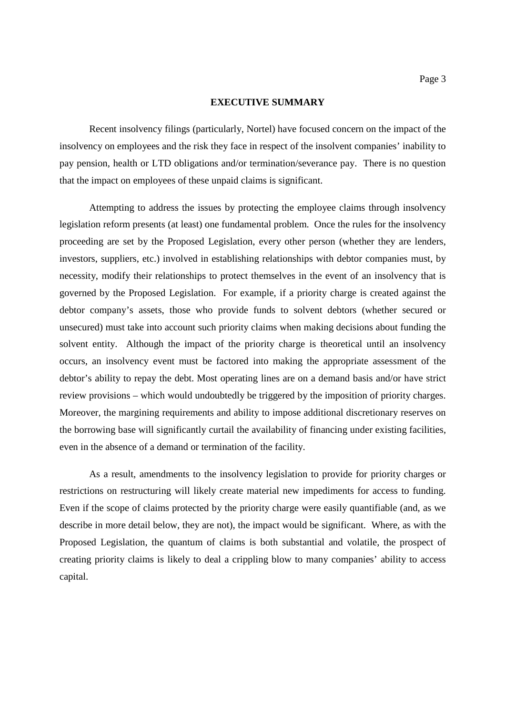#### **EXECUTIVE SUMMARY**

Recent insolvency filings (particularly, Nortel) have focused concern on the impact of the insolvency on employees and the risk they face in respect of the insolvent companies' inability to pay pension, health or LTD obligations and/or termination/severance pay. There is no question that the impact on employees of these unpaid claims is significant.

Attempting to address the issues by protecting the employee claims through insolvency legislation reform presents (at least) one fundamental problem. Once the rules for the insolvency proceeding are set by the Proposed Legislation, every other person (whether they are lenders, investors, suppliers, etc.) involved in establishing relationships with debtor companies must, by necessity, modify their relationships to protect themselves in the event of an insolvency that is governed by the Proposed Legislation. For example, if a priority charge is created against the debtor company's assets, those who provide funds to solvent debtors (whether secured or unsecured) must take into account such priority claims when making decisions about funding the solvent entity. Although the impact of the priority charge is theoretical until an insolvency occurs, an insolvency event must be factored into making the appropriate assessment of the debtor's ability to repay the debt. Most operating lines are on a demand basis and/or have strict review provisions – which would undoubtedly be triggered by the imposition of priority charges. Moreover, the margining requirements and ability to impose additional discretionary reserves on the borrowing base will significantly curtail the availability of financing under existing facilities, even in the absence of a demand or termination of the facility.

As a result, amendments to the insolvency legislation to provide for priority charges or restrictions on restructuring will likely create material new impediments for access to funding. Even if the scope of claims protected by the priority charge were easily quantifiable (and, as we describe in more detail below, they are not), the impact would be significant. Where, as with the Proposed Legislation, the quantum of claims is both substantial and volatile, the prospect of creating priority claims is likely to deal a crippling blow to many companies' ability to access capital.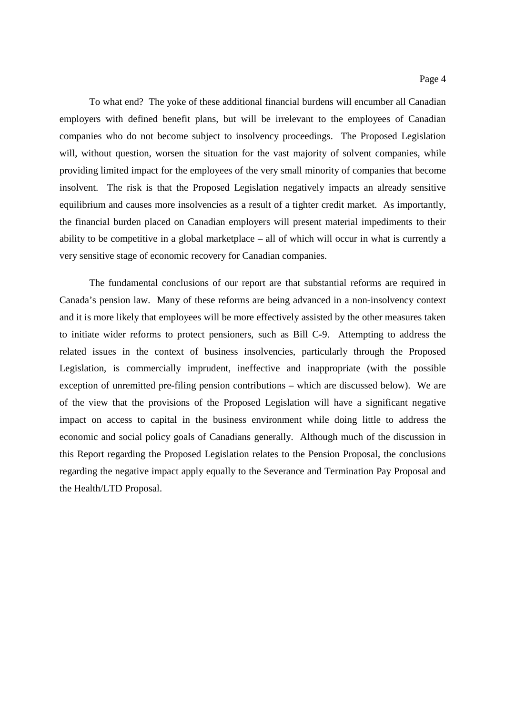To what end? The yoke of these additional financial burdens will encumber all Canadian employers with defined benefit plans, but will be irrelevant to the employees of Canadian companies who do not become subject to insolvency proceedings. The Proposed Legislation will, without question, worsen the situation for the vast majority of solvent companies, while providing limited impact for the employees of the very small minority of companies that become insolvent. The risk is that the Proposed Legislation negatively impacts an already sensitive equilibrium and causes more insolvencies as a result of a tighter credit market. As importantly, the financial burden placed on Canadian employers will present material impediments to their ability to be competitive in a global marketplace – all of which will occur in what is currently a very sensitive stage of economic recovery for Canadian companies.

The fundamental conclusions of our report are that substantial reforms are required in Canada's pension law. Many of these reforms are being advanced in a non-insolvency context and it is more likely that employees will be more effectively assisted by the other measures taken to initiate wider reforms to protect pensioners, such as Bill C-9. Attempting to address the related issues in the context of business insolvencies, particularly through the Proposed Legislation, is commercially imprudent, ineffective and inappropriate (with the possible exception of unremitted pre-filing pension contributions – which are discussed below). We are of the view that the provisions of the Proposed Legislation will have a significant negative impact on access to capital in the business environment while doing little to address the economic and social policy goals of Canadians generally. Although much of the discussion in this Report regarding the Proposed Legislation relates to the Pension Proposal, the conclusions regarding the negative impact apply equally to the Severance and Termination Pay Proposal and the Health/LTD Proposal.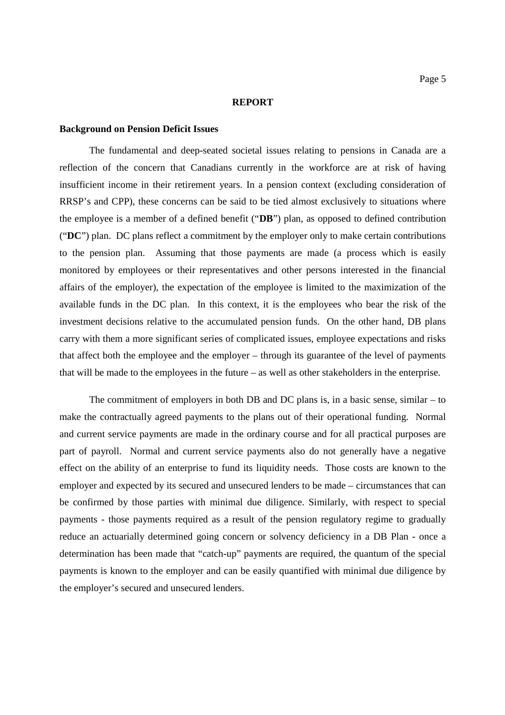#### **REPORT**

#### **Background on Pension Deficit Issues**

The fundamental and deep-seated societal issues relating to pensions in Canada are a reflection of the concern that Canadians currently in the workforce are at risk of having insufficient income in their retirement years. In a pension context (excluding consideration of RRSP's and CPP), these concerns can be said to be tied almost exclusively to situations where the employee is a member of a defined benefit ("**DB**") plan, as opposed to defined contribution ("**DC**") plan. DC plans reflect a commitment by the employer only to make certain contributions to the pension plan. Assuming that those payments are made (a process which is easily monitored by employees or their representatives and other persons interested in the financial affairs of the employer), the expectation of the employee is limited to the maximization of the available funds in the DC plan. In this context, it is the employees who bear the risk of the investment decisions relative to the accumulated pension funds. On the other hand, DB plans carry with them a more significant series of complicated issues, employee expectations and risks that affect both the employee and the employer – through its guarantee of the level of payments that will be made to the employees in the future – as well as other stakeholders in the enterprise.

The commitment of employers in both DB and DC plans is, in a basic sense, similar – to make the contractually agreed payments to the plans out of their operational funding. Normal and current service payments are made in the ordinary course and for all practical purposes are part of payroll. Normal and current service payments also do not generally have a negative effect on the ability of an enterprise to fund its liquidity needs. Those costs are known to the employer and expected by its secured and unsecured lenders to be made – circumstances that can be confirmed by those parties with minimal due diligence. Similarly, with respect to special payments - those payments required as a result of the pension regulatory regime to gradually reduce an actuarially determined going concern or solvency deficiency in a DB Plan - once a determination has been made that "catch-up" payments are required, the quantum of the special payments is known to the employer and can be easily quantified with minimal due diligence by the employer's secured and unsecured lenders.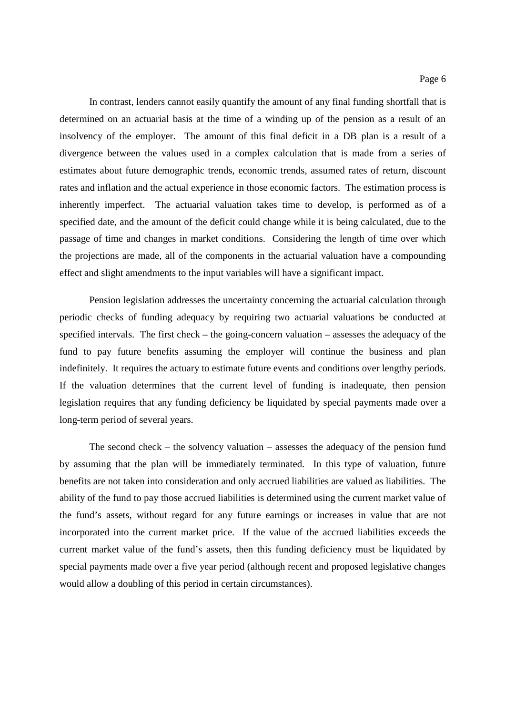In contrast, lenders cannot easily quantify the amount of any final funding shortfall that is determined on an actuarial basis at the time of a winding up of the pension as a result of an insolvency of the employer. The amount of this final deficit in a DB plan is a result of a divergence between the values used in a complex calculation that is made from a series of estimates about future demographic trends, economic trends, assumed rates of return, discount rates and inflation and the actual experience in those economic factors. The estimation process is inherently imperfect. The actuarial valuation takes time to develop, is performed as of a specified date, and the amount of the deficit could change while it is being calculated, due to the passage of time and changes in market conditions. Considering the length of time over which the projections are made, all of the components in the actuarial valuation have a compounding effect and slight amendments to the input variables will have a significant impact.

Pension legislation addresses the uncertainty concerning the actuarial calculation through periodic checks of funding adequacy by requiring two actuarial valuations be conducted at specified intervals. The first check – the going-concern valuation – assesses the adequacy of the fund to pay future benefits assuming the employer will continue the business and plan indefinitely. It requires the actuary to estimate future events and conditions over lengthy periods. If the valuation determines that the current level of funding is inadequate, then pension legislation requires that any funding deficiency be liquidated by special payments made over a long-term period of several years.

The second check – the solvency valuation – assesses the adequacy of the pension fund by assuming that the plan will be immediately terminated. In this type of valuation, future benefits are not taken into consideration and only accrued liabilities are valued as liabilities. The ability of the fund to pay those accrued liabilities is determined using the current market value of the fund's assets, without regard for any future earnings or increases in value that are not incorporated into the current market price. If the value of the accrued liabilities exceeds the current market value of the fund's assets, then this funding deficiency must be liquidated by special payments made over a five year period (although recent and proposed legislative changes would allow a doubling of this period in certain circumstances).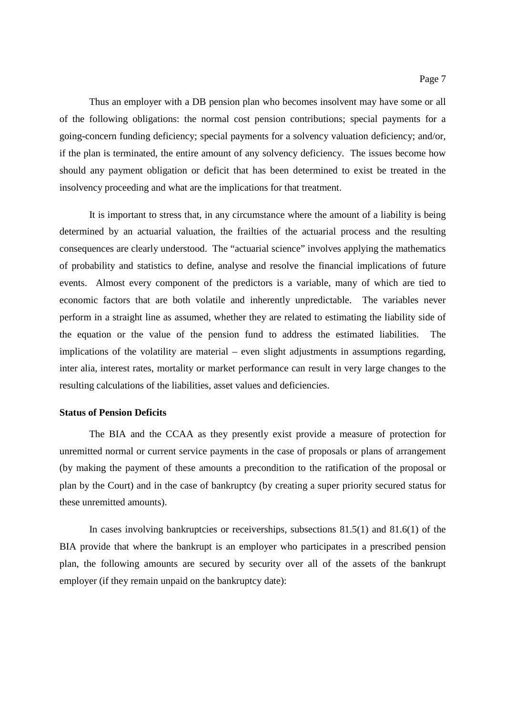Thus an employer with a DB pension plan who becomes insolvent may have some or all of the following obligations: the normal cost pension contributions; special payments for a going-concern funding deficiency; special payments for a solvency valuation deficiency; and/or, if the plan is terminated, the entire amount of any solvency deficiency. The issues become how should any payment obligation or deficit that has been determined to exist be treated in the insolvency proceeding and what are the implications for that treatment.

It is important to stress that, in any circumstance where the amount of a liability is being determined by an actuarial valuation, the frailties of the actuarial process and the resulting consequences are clearly understood. The "actuarial science" involves applying the mathematics of probability and statistics to define, analyse and resolve the financial implications of future events. Almost every component of the predictors is a variable, many of which are tied to economic factors that are both volatile and inherently unpredictable. The variables never perform in a straight line as assumed, whether they are related to estimating the liability side of the equation or the value of the pension fund to address the estimated liabilities. The implications of the volatility are material – even slight adjustments in assumptions regarding, inter alia, interest rates, mortality or market performance can result in very large changes to the resulting calculations of the liabilities, asset values and deficiencies.

## **Status of Pension Deficits**

The BIA and the CCAA as they presently exist provide a measure of protection for unremitted normal or current service payments in the case of proposals or plans of arrangement (by making the payment of these amounts a precondition to the ratification of the proposal or plan by the Court) and in the case of bankruptcy (by creating a super priority secured status for these unremitted amounts).

In cases involving bankruptcies or receiverships, subsections 81.5(1) and 81.6(1) of the BIA provide that where the bankrupt is an employer who participates in a prescribed pension plan, the following amounts are secured by security over all of the assets of the bankrupt employer (if they remain unpaid on the bankruptcy date):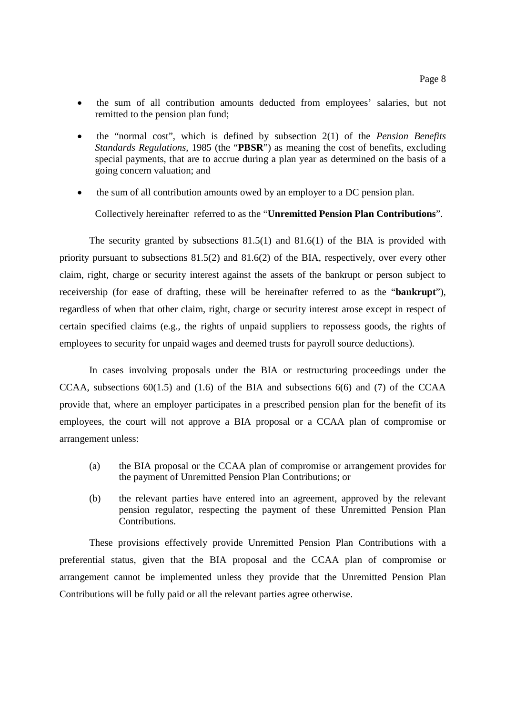- the sum of all contribution amounts deducted from employees' salaries, but not remitted to the pension plan fund;
- the "normal cost", which is defined by subsection 2(1) of the *Pension Benefits Standards Regulations,* 1985 (the "**PBSR**") as meaning the cost of benefits, excluding special payments, that are to accrue during a plan year as determined on the basis of a going concern valuation; and
- the sum of all contribution amounts owed by an employer to a DC pension plan.

Collectively hereinafter referred to as the "**Unremitted Pension Plan Contributions**".

The security granted by subsections 81.5(1) and 81.6(1) of the BIA is provided with priority pursuant to subsections 81.5(2) and 81.6(2) of the BIA, respectively, over every other claim, right, charge or security interest against the assets of the bankrupt or person subject to receivership (for ease of drafting, these will be hereinafter referred to as the "**bankrupt**"), regardless of when that other claim, right, charge or security interest arose except in respect of certain specified claims (e.g., the rights of unpaid suppliers to repossess goods, the rights of employees to security for unpaid wages and deemed trusts for payroll source deductions).

In cases involving proposals under the BIA or restructuring proceedings under the CCAA, subsections  $60(1.5)$  and  $(1.6)$  of the BIA and subsections  $6(6)$  and  $(7)$  of the CCAA provide that, where an employer participates in a prescribed pension plan for the benefit of its employees, the court will not approve a BIA proposal or a CCAA plan of compromise or arrangement unless:

- (a) the BIA proposal or the CCAA plan of compromise or arrangement provides for the payment of Unremitted Pension Plan Contributions; or
- (b) the relevant parties have entered into an agreement, approved by the relevant pension regulator, respecting the payment of these Unremitted Pension Plan Contributions.

These provisions effectively provide Unremitted Pension Plan Contributions with a preferential status, given that the BIA proposal and the CCAA plan of compromise or arrangement cannot be implemented unless they provide that the Unremitted Pension Plan Contributions will be fully paid or all the relevant parties agree otherwise.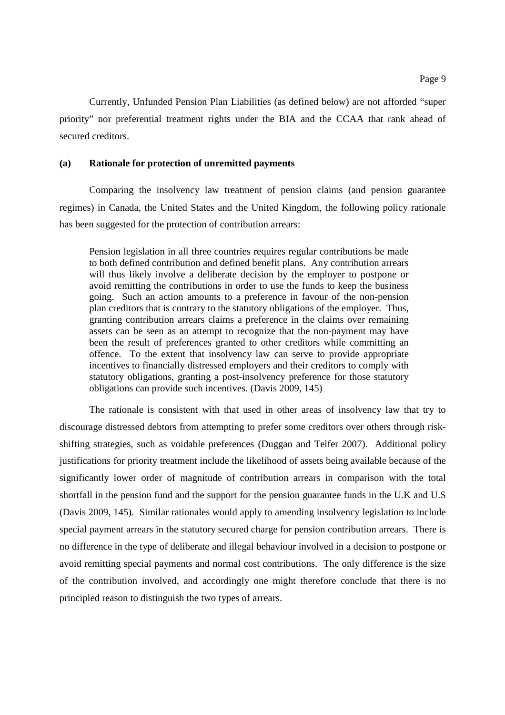Currently, Unfunded Pension Plan Liabilities (as defined below) are not afforded "super priority" nor preferential treatment rights under the BIA and the CCAA that rank ahead of secured creditors.

## **(a) Rationale for protection of unremitted payments**

Comparing the insolvency law treatment of pension claims (and pension guarantee regimes) in Canada, the United States and the United Kingdom, the following policy rationale has been suggested for the protection of contribution arrears:

Pension legislation in all three countries requires regular contributions be made to both defined contribution and defined benefit plans. Any contribution arrears will thus likely involve a deliberate decision by the employer to postpone or avoid remitting the contributions in order to use the funds to keep the business going. Such an action amounts to a preference in favour of the non-pension plan creditors that is contrary to the statutory obligations of the employer. Thus, granting contribution arrears claims a preference in the claims over remaining assets can be seen as an attempt to recognize that the non-payment may have been the result of preferences granted to other creditors while committing an offence. To the extent that insolvency law can serve to provide appropriate incentives to financially distressed employers and their creditors to comply with statutory obligations, granting a post-insolvency preference for those statutory obligations can provide such incentives. (Davis 2009, 145)

The rationale is consistent with that used in other areas of insolvency law that try to discourage distressed debtors from attempting to prefer some creditors over others through riskshifting strategies, such as voidable preferences (Duggan and Telfer 2007). Additional policy justifications for priority treatment include the likelihood of assets being available because of the significantly lower order of magnitude of contribution arrears in comparison with the total shortfall in the pension fund and the support for the pension guarantee funds in the U.K and U.S (Davis 2009, 145). Similar rationales would apply to amending insolvency legislation to include special payment arrears in the statutory secured charge for pension contribution arrears. There is no difference in the type of deliberate and illegal behaviour involved in a decision to postpone or avoid remitting special payments and normal cost contributions. The only difference is the size of the contribution involved, and accordingly one might therefore conclude that there is no principled reason to distinguish the two types of arrears.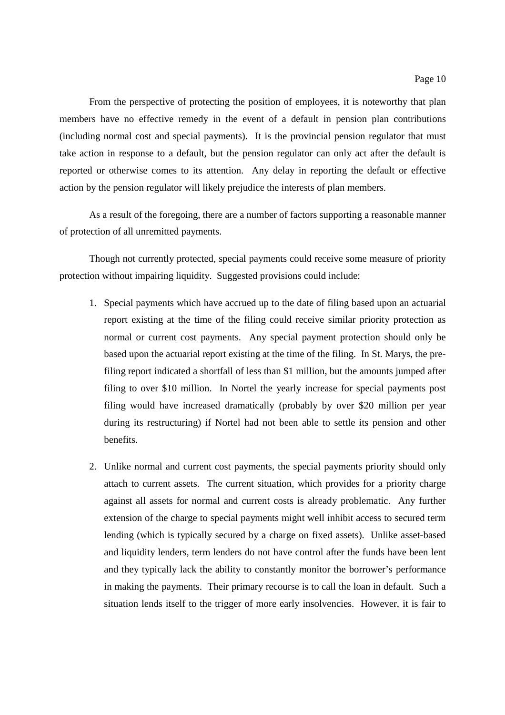From the perspective of protecting the position of employees, it is noteworthy that plan members have no effective remedy in the event of a default in pension plan contributions (including normal cost and special payments). It is the provincial pension regulator that must take action in response to a default, but the pension regulator can only act after the default is reported or otherwise comes to its attention. Any delay in reporting the default or effective action by the pension regulator will likely prejudice the interests of plan members.

As a result of the foregoing, there are a number of factors supporting a reasonable manner of protection of all unremitted payments.

Though not currently protected, special payments could receive some measure of priority protection without impairing liquidity. Suggested provisions could include:

- 1. Special payments which have accrued up to the date of filing based upon an actuarial report existing at the time of the filing could receive similar priority protection as normal or current cost payments. Any special payment protection should only be based upon the actuarial report existing at the time of the filing. In St. Marys, the prefiling report indicated a shortfall of less than \$1 million, but the amounts jumped after filing to over \$10 million. In Nortel the yearly increase for special payments post filing would have increased dramatically (probably by over \$20 million per year during its restructuring) if Nortel had not been able to settle its pension and other benefits.
- 2. Unlike normal and current cost payments, the special payments priority should only attach to current assets. The current situation, which provides for a priority charge against all assets for normal and current costs is already problematic. Any further extension of the charge to special payments might well inhibit access to secured term lending (which is typically secured by a charge on fixed assets). Unlike asset-based and liquidity lenders, term lenders do not have control after the funds have been lent and they typically lack the ability to constantly monitor the borrower's performance in making the payments. Their primary recourse is to call the loan in default. Such a situation lends itself to the trigger of more early insolvencies. However, it is fair to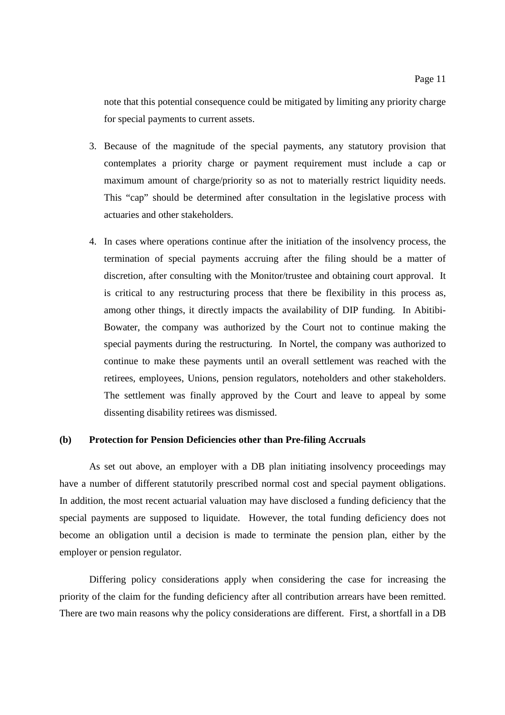- 3. Because of the magnitude of the special payments, any statutory provision that contemplates a priority charge or payment requirement must include a cap or maximum amount of charge/priority so as not to materially restrict liquidity needs. This "cap" should be determined after consultation in the legislative process with actuaries and other stakeholders.
- 4. In cases where operations continue after the initiation of the insolvency process, the termination of special payments accruing after the filing should be a matter of discretion, after consulting with the Monitor/trustee and obtaining court approval. It is critical to any restructuring process that there be flexibility in this process as, among other things, it directly impacts the availability of DIP funding. In Abitibi-Bowater, the company was authorized by the Court not to continue making the special payments during the restructuring. In Nortel, the company was authorized to continue to make these payments until an overall settlement was reached with the retirees, employees, Unions, pension regulators, noteholders and other stakeholders. The settlement was finally approved by the Court and leave to appeal by some dissenting disability retirees was dismissed.

## **(b) Protection for Pension Deficiencies other than Pre-filing Accruals**

As set out above, an employer with a DB plan initiating insolvency proceedings may have a number of different statutorily prescribed normal cost and special payment obligations. In addition, the most recent actuarial valuation may have disclosed a funding deficiency that the special payments are supposed to liquidate. However, the total funding deficiency does not become an obligation until a decision is made to terminate the pension plan, either by the employer or pension regulator.

Differing policy considerations apply when considering the case for increasing the priority of the claim for the funding deficiency after all contribution arrears have been remitted. There are two main reasons why the policy considerations are different. First, a shortfall in a DB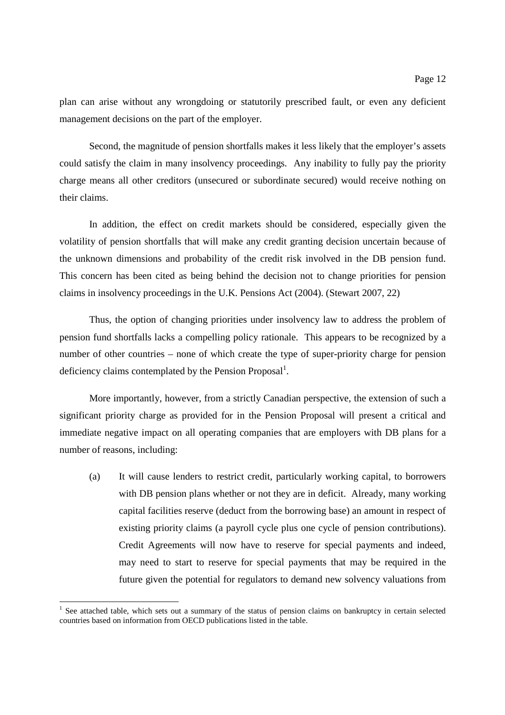plan can arise without any wrongdoing or statutorily prescribed fault, or even any deficient management decisions on the part of the employer.

Second, the magnitude of pension shortfalls makes it less likely that the employer's assets could satisfy the claim in many insolvency proceedings. Any inability to fully pay the priority charge means all other creditors (unsecured or subordinate secured) would receive nothing on their claims.

In addition, the effect on credit markets should be considered, especially given the volatility of pension shortfalls that will make any credit granting decision uncertain because of the unknown dimensions and probability of the credit risk involved in the DB pension fund. This concern has been cited as being behind the decision not to change priorities for pension claims in insolvency proceedings in the U.K. Pensions Act (2004). (Stewart 2007, 22)

Thus, the option of changing priorities under insolvency law to address the problem of pension fund shortfalls lacks a compelling policy rationale. This appears to be recognized by a number of other countries – none of which create the type of super-priority charge for pension deficiency claims contemplated by the Pension Proposal<sup>1</sup>.

More importantly, however, from a strictly Canadian perspective, the extension of such a significant priority charge as provided for in the Pension Proposal will present a critical and immediate negative impact on all operating companies that are employers with DB plans for a number of reasons, including:

(a) It will cause lenders to restrict credit, particularly working capital, to borrowers with DB pension plans whether or not they are in deficit. Already, many working capital facilities reserve (deduct from the borrowing base) an amount in respect of existing priority claims (a payroll cycle plus one cycle of pension contributions). Credit Agreements will now have to reserve for special payments and indeed, may need to start to reserve for special payments that may be required in the future given the potential for regulators to demand new solvency valuations from

<sup>&</sup>lt;sup>1</sup> See attached table, which sets out a summary of the status of pension claims on bankruptcy in certain selected countries based on information from OECD publications listed in the table.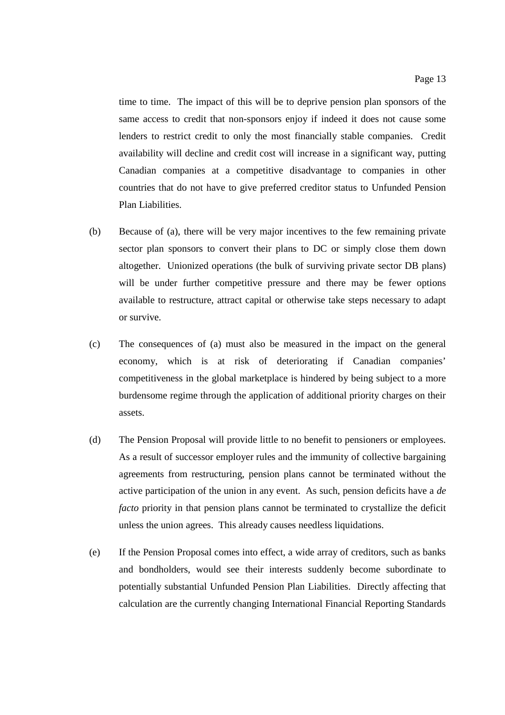time to time. The impact of this will be to deprive pension plan sponsors of the same access to credit that non-sponsors enjoy if indeed it does not cause some lenders to restrict credit to only the most financially stable companies. Credit availability will decline and credit cost will increase in a significant way, putting Canadian companies at a competitive disadvantage to companies in other countries that do not have to give preferred creditor status to Unfunded Pension Plan Liabilities.

- (b) Because of (a), there will be very major incentives to the few remaining private sector plan sponsors to convert their plans to DC or simply close them down altogether. Unionized operations (the bulk of surviving private sector DB plans) will be under further competitive pressure and there may be fewer options available to restructure, attract capital or otherwise take steps necessary to adapt or survive.
- (c) The consequences of (a) must also be measured in the impact on the general economy, which is at risk of deteriorating if Canadian companies' competitiveness in the global marketplace is hindered by being subject to a more burdensome regime through the application of additional priority charges on their assets.
- (d) The Pension Proposal will provide little to no benefit to pensioners or employees. As a result of successor employer rules and the immunity of collective bargaining agreements from restructuring, pension plans cannot be terminated without the active participation of the union in any event. As such, pension deficits have a *de facto* priority in that pension plans cannot be terminated to crystallize the deficit unless the union agrees. This already causes needless liquidations.
- (e) If the Pension Proposal comes into effect, a wide array of creditors, such as banks and bondholders, would see their interests suddenly become subordinate to potentially substantial Unfunded Pension Plan Liabilities. Directly affecting that calculation are the currently changing International Financial Reporting Standards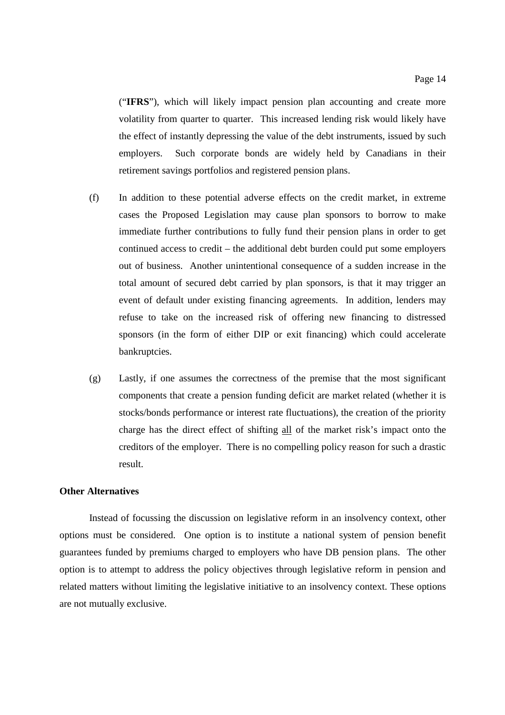("**IFRS**"), which will likely impact pension plan accounting and create more volatility from quarter to quarter. This increased lending risk would likely have the effect of instantly depressing the value of the debt instruments, issued by such employers. Such corporate bonds are widely held by Canadians in their retirement savings portfolios and registered pension plans.

- (f) In addition to these potential adverse effects on the credit market, in extreme cases the Proposed Legislation may cause plan sponsors to borrow to make immediate further contributions to fully fund their pension plans in order to get continued access to credit – the additional debt burden could put some employers out of business. Another unintentional consequence of a sudden increase in the total amount of secured debt carried by plan sponsors, is that it may trigger an event of default under existing financing agreements. In addition, lenders may refuse to take on the increased risk of offering new financing to distressed sponsors (in the form of either DIP or exit financing) which could accelerate bankruptcies.
- (g) Lastly, if one assumes the correctness of the premise that the most significant components that create a pension funding deficit are market related (whether it is stocks/bonds performance or interest rate fluctuations), the creation of the priority charge has the direct effect of shifting all of the market risk's impact onto the creditors of the employer. There is no compelling policy reason for such a drastic result.

#### **Other Alternatives**

Instead of focussing the discussion on legislative reform in an insolvency context, other options must be considered. One option is to institute a national system of pension benefit guarantees funded by premiums charged to employers who have DB pension plans. The other option is to attempt to address the policy objectives through legislative reform in pension and related matters without limiting the legislative initiative to an insolvency context. These options are not mutually exclusive.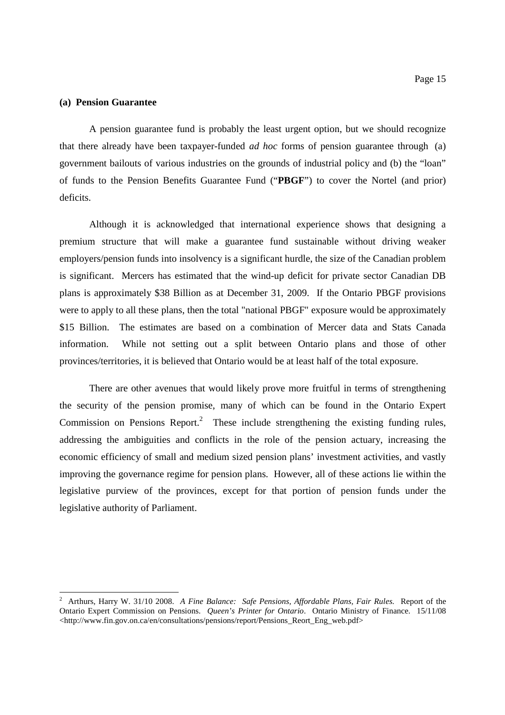#### **(a) Pension Guarantee**

A pension guarantee fund is probably the least urgent option, but we should recognize that there already have been taxpayer-funded *ad hoc* forms of pension guarantee through (a) government bailouts of various industries on the grounds of industrial policy and (b) the "loan" of funds to the Pension Benefits Guarantee Fund ("**PBGF**") to cover the Nortel (and prior) deficits.

Although it is acknowledged that international experience shows that designing a premium structure that will make a guarantee fund sustainable without driving weaker employers/pension funds into insolvency is a significant hurdle, the size of the Canadian problem is significant. Mercers has estimated that the wind-up deficit for private sector Canadian DB plans is approximately \$38 Billion as at December 31, 2009. If the Ontario PBGF provisions were to apply to all these plans, then the total "national PBGF" exposure would be approximately \$15 Billion. The estimates are based on a combination of Mercer data and Stats Canada information. While not setting out a split between Ontario plans and those of other provinces/territories, it is believed that Ontario would be at least half of the total exposure.

There are other avenues that would likely prove more fruitful in terms of strengthening the security of the pension promise, many of which can be found in the Ontario Expert Commission on Pensions Report.<sup>2</sup> These include strengthening the existing funding rules, addressing the ambiguities and conflicts in the role of the pension actuary, increasing the economic efficiency of small and medium sized pension plans' investment activities, and vastly improving the governance regime for pension plans. However, all of these actions lie within the legislative purview of the provinces, except for that portion of pension funds under the legislative authority of Parliament.

<sup>2</sup> Arthurs, Harry W. 31/10 2008. *A Fine Balance: Safe Pensions, Affordable Plans, Fair Rules.* Report of the Ontario Expert Commission on Pensions. *Queen's Printer for Ontario*. Ontario Ministry of Finance. 15/11/08 <http://www.fin.gov.on.ca/en/consultations/pensions/report/Pensions\_Reort\_Eng\_web.pdf>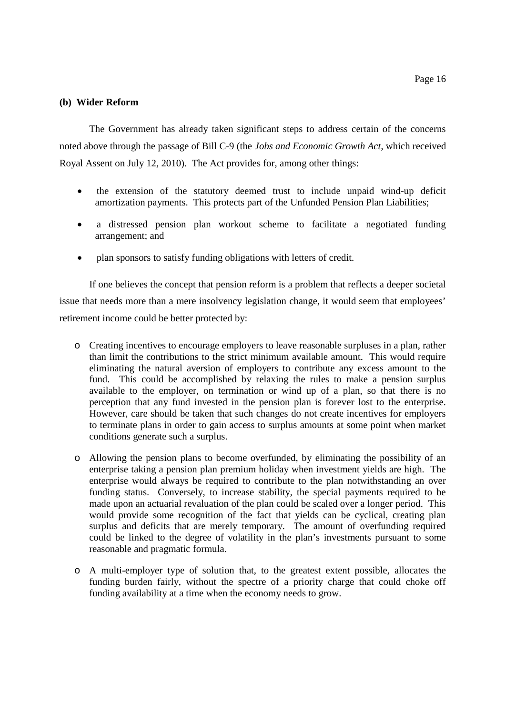#### **(b) Wider Reform**

The Government has already taken significant steps to address certain of the concerns noted above through the passage of Bill C-9 (the *Jobs and Economic Growth Act*, which received Royal Assent on July 12, 2010). The Act provides for, among other things:

- the extension of the statutory deemed trust to include unpaid wind-up deficit amortization payments. This protects part of the Unfunded Pension Plan Liabilities;
- a distressed pension plan workout scheme to facilitate a negotiated funding arrangement; and
- plan sponsors to satisfy funding obligations with letters of credit.

If one believes the concept that pension reform is a problem that reflects a deeper societal issue that needs more than a mere insolvency legislation change, it would seem that employees' retirement income could be better protected by:

- o Creating incentives to encourage employers to leave reasonable surpluses in a plan, rather than limit the contributions to the strict minimum available amount. This would require eliminating the natural aversion of employers to contribute any excess amount to the fund. This could be accomplished by relaxing the rules to make a pension surplus available to the employer, on termination or wind up of a plan, so that there is no perception that any fund invested in the pension plan is forever lost to the enterprise. However, care should be taken that such changes do not create incentives for employers to terminate plans in order to gain access to surplus amounts at some point when market conditions generate such a surplus.
- o Allowing the pension plans to become overfunded, by eliminating the possibility of an enterprise taking a pension plan premium holiday when investment yields are high. The enterprise would always be required to contribute to the plan notwithstanding an over funding status. Conversely, to increase stability, the special payments required to be made upon an actuarial revaluation of the plan could be scaled over a longer period. This would provide some recognition of the fact that yields can be cyclical, creating plan surplus and deficits that are merely temporary. The amount of overfunding required could be linked to the degree of volatility in the plan's investments pursuant to some reasonable and pragmatic formula.
- o A multi-employer type of solution that, to the greatest extent possible, allocates the funding burden fairly, without the spectre of a priority charge that could choke off funding availability at a time when the economy needs to grow.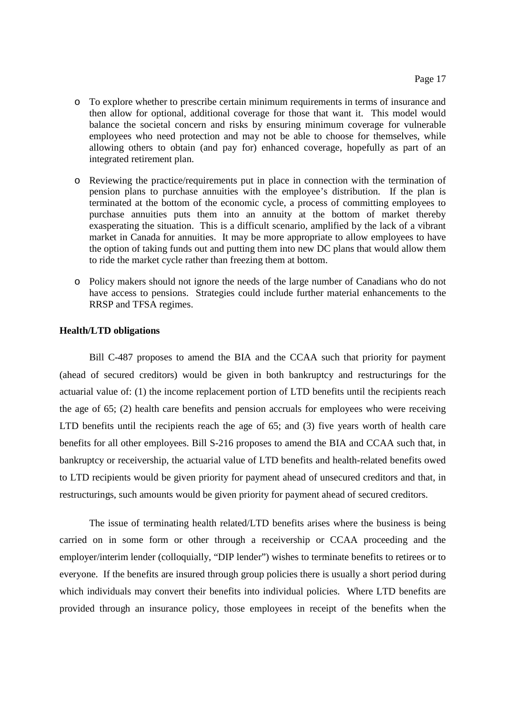- o To explore whether to prescribe certain minimum requirements in terms of insurance and then allow for optional, additional coverage for those that want it. This model would balance the societal concern and risks by ensuring minimum coverage for vulnerable employees who need protection and may not be able to choose for themselves, while allowing others to obtain (and pay for) enhanced coverage, hopefully as part of an integrated retirement plan.
- o Reviewing the practice/requirements put in place in connection with the termination of pension plans to purchase annuities with the employee's distribution. If the plan is terminated at the bottom of the economic cycle, a process of committing employees to purchase annuities puts them into an annuity at the bottom of market thereby exasperating the situation. This is a difficult scenario, amplified by the lack of a vibrant market in Canada for annuities. It may be more appropriate to allow employees to have the option of taking funds out and putting them into new DC plans that would allow them to ride the market cycle rather than freezing them at bottom.
- o Policy makers should not ignore the needs of the large number of Canadians who do not have access to pensions. Strategies could include further material enhancements to the RRSP and TFSA regimes.

#### **Health/LTD obligations**

Bill C-487 proposes to amend the BIA and the CCAA such that priority for payment (ahead of secured creditors) would be given in both bankruptcy and restructurings for the actuarial value of: (1) the income replacement portion of LTD benefits until the recipients reach the age of 65; (2) health care benefits and pension accruals for employees who were receiving LTD benefits until the recipients reach the age of 65; and (3) five years worth of health care benefits for all other employees. Bill S-216 proposes to amend the BIA and CCAA such that, in bankruptcy or receivership, the actuarial value of LTD benefits and health-related benefits owed to LTD recipients would be given priority for payment ahead of unsecured creditors and that, in restructurings, such amounts would be given priority for payment ahead of secured creditors.

The issue of terminating health related/LTD benefits arises where the business is being carried on in some form or other through a receivership or CCAA proceeding and the employer/interim lender (colloquially, "DIP lender") wishes to terminate benefits to retirees or to everyone. If the benefits are insured through group policies there is usually a short period during which individuals may convert their benefits into individual policies. Where LTD benefits are provided through an insurance policy, those employees in receipt of the benefits when the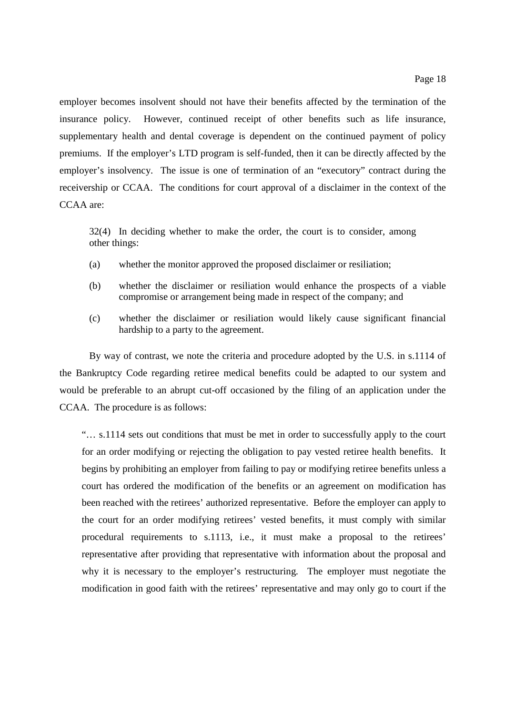employer becomes insolvent should not have their benefits affected by the termination of the insurance policy. However, continued receipt of other benefits such as life insurance, supplementary health and dental coverage is dependent on the continued payment of policy premiums. If the employer's LTD program is self-funded, then it can be directly affected by the employer's insolvency. The issue is one of termination of an "executory" contract during the receivership or CCAA. The conditions for court approval of a disclaimer in the context of the CCAA are:

32(4) In deciding whether to make the order, the court is to consider, among other things:

- (a) whether the monitor approved the proposed disclaimer or resiliation;
- (b) whether the disclaimer or resiliation would enhance the prospects of a viable compromise or arrangement being made in respect of the company; and
- (c) whether the disclaimer or resiliation would likely cause significant financial hardship to a party to the agreement.

By way of contrast, we note the criteria and procedure adopted by the U.S. in s.1114 of the Bankruptcy Code regarding retiree medical benefits could be adapted to our system and would be preferable to an abrupt cut-off occasioned by the filing of an application under the CCAA. The procedure is as follows:

"… s.1114 sets out conditions that must be met in order to successfully apply to the court for an order modifying or rejecting the obligation to pay vested retiree health benefits. It begins by prohibiting an employer from failing to pay or modifying retiree benefits unless a court has ordered the modification of the benefits or an agreement on modification has been reached with the retirees' authorized representative. Before the employer can apply to the court for an order modifying retirees' vested benefits, it must comply with similar procedural requirements to s.1113, i.e., it must make a proposal to the retirees' representative after providing that representative with information about the proposal and why it is necessary to the employer's restructuring. The employer must negotiate the modification in good faith with the retirees' representative and may only go to court if the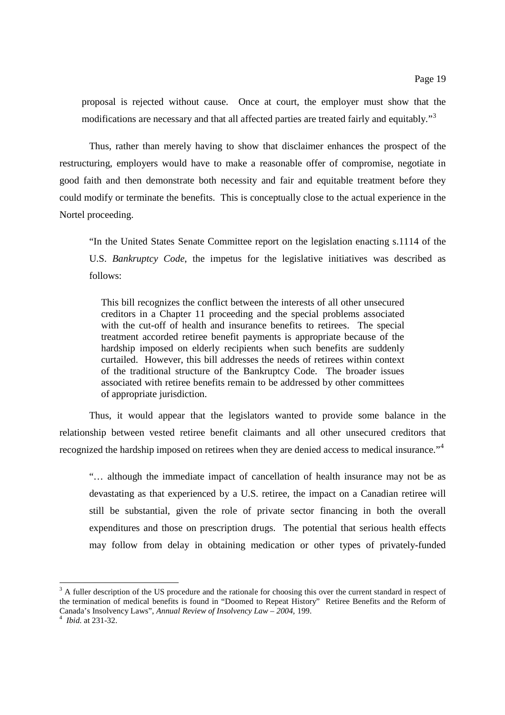proposal is rejected without cause. Once at court, the employer must show that the modifications are necessary and that all affected parties are treated fairly and equitably."<sup>3</sup>

Thus, rather than merely having to show that disclaimer enhances the prospect of the restructuring, employers would have to make a reasonable offer of compromise, negotiate in good faith and then demonstrate both necessity and fair and equitable treatment before they could modify or terminate the benefits. This is conceptually close to the actual experience in the Nortel proceeding.

"In the United States Senate Committee report on the legislation enacting s.1114 of the U.S. *Bankruptcy Code*, the impetus for the legislative initiatives was described as follows:

This bill recognizes the conflict between the interests of all other unsecured creditors in a Chapter 11 proceeding and the special problems associated with the cut-off of health and insurance benefits to retirees. The special treatment accorded retiree benefit payments is appropriate because of the hardship imposed on elderly recipients when such benefits are suddenly curtailed. However, this bill addresses the needs of retirees within context of the traditional structure of the Bankruptcy Code. The broader issues associated with retiree benefits remain to be addressed by other committees of appropriate jurisdiction.

Thus, it would appear that the legislators wanted to provide some balance in the relationship between vested retiree benefit claimants and all other unsecured creditors that recognized the hardship imposed on retirees when they are denied access to medical insurance."<sup>4</sup>

"… although the immediate impact of cancellation of health insurance may not be as devastating as that experienced by a U.S. retiree, the impact on a Canadian retiree will still be substantial, given the role of private sector financing in both the overall expenditures and those on prescription drugs. The potential that serious health effects may follow from delay in obtaining medication or other types of privately-funded

 $3$  A fuller description of the US procedure and the rationale for choosing this over the current standard in respect of the termination of medical benefits is found in "Doomed to Repeat History" Retiree Benefits and the Reform of Canada's Insolvency Laws", *Annual Review of Insolvency Law – 2004,* 199.

<sup>4</sup> *Ibid.* at 231-32.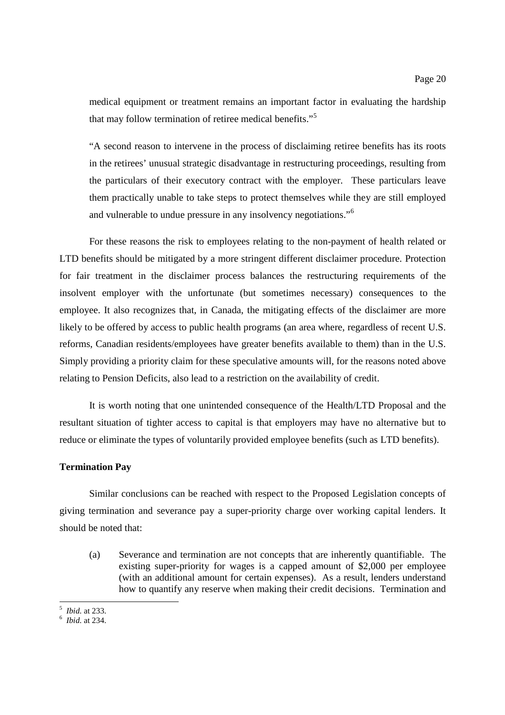medical equipment or treatment remains an important factor in evaluating the hardship that may follow termination of retiree medical benefits."<sup>5</sup>

"A second reason to intervene in the process of disclaiming retiree benefits has its roots in the retirees' unusual strategic disadvantage in restructuring proceedings, resulting from the particulars of their executory contract with the employer. These particulars leave them practically unable to take steps to protect themselves while they are still employed and vulnerable to undue pressure in any insolvency negotiations."<sup>6</sup>

For these reasons the risk to employees relating to the non-payment of health related or LTD benefits should be mitigated by a more stringent different disclaimer procedure. Protection for fair treatment in the disclaimer process balances the restructuring requirements of the insolvent employer with the unfortunate (but sometimes necessary) consequences to the employee. It also recognizes that, in Canada, the mitigating effects of the disclaimer are more likely to be offered by access to public health programs (an area where, regardless of recent U.S. reforms, Canadian residents/employees have greater benefits available to them) than in the U.S. Simply providing a priority claim for these speculative amounts will, for the reasons noted above relating to Pension Deficits, also lead to a restriction on the availability of credit.

It is worth noting that one unintended consequence of the Health/LTD Proposal and the resultant situation of tighter access to capital is that employers may have no alternative but to reduce or eliminate the types of voluntarily provided employee benefits (such as LTD benefits).

#### **Termination Pay**

Similar conclusions can be reached with respect to the Proposed Legislation concepts of giving termination and severance pay a super-priority charge over working capital lenders. It should be noted that:

(a) Severance and termination are not concepts that are inherently quantifiable. The existing super-priority for wages is a capped amount of \$2,000 per employee (with an additional amount for certain expenses). As a result, lenders understand how to quantify any reserve when making their credit decisions. Termination and

<sup>5</sup> *Ibid.* at 233.

<sup>6</sup> *Ibid.* at 234.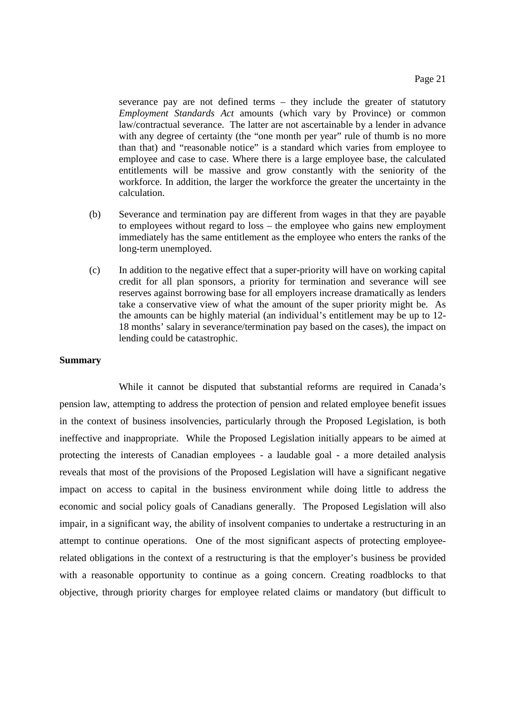severance pay are not defined terms – they include the greater of statutory *Employment Standards Act* amounts (which vary by Province) or common law/contractual severance. The latter are not ascertainable by a lender in advance with any degree of certainty (the "one month per year" rule of thumb is no more than that) and "reasonable notice" is a standard which varies from employee to employee and case to case. Where there is a large employee base, the calculated entitlements will be massive and grow constantly with the seniority of the workforce. In addition, the larger the workforce the greater the uncertainty in the calculation.

- (b) Severance and termination pay are different from wages in that they are payable to employees without regard to loss – the employee who gains new employment immediately has the same entitlement as the employee who enters the ranks of the long-term unemployed.
- (c) In addition to the negative effect that a super-priority will have on working capital credit for all plan sponsors, a priority for termination and severance will see reserves against borrowing base for all employers increase dramatically as lenders take a conservative view of what the amount of the super priority might be. As the amounts can be highly material (an individual's entitlement may be up to 12- 18 months' salary in severance/termination pay based on the cases), the impact on lending could be catastrophic.

## **Summary**

While it cannot be disputed that substantial reforms are required in Canada's pension law, attempting to address the protection of pension and related employee benefit issues in the context of business insolvencies, particularly through the Proposed Legislation, is both ineffective and inappropriate. While the Proposed Legislation initially appears to be aimed at protecting the interests of Canadian employees - a laudable goal - a more detailed analysis reveals that most of the provisions of the Proposed Legislation will have a significant negative impact on access to capital in the business environment while doing little to address the economic and social policy goals of Canadians generally. The Proposed Legislation will also impair, in a significant way, the ability of insolvent companies to undertake a restructuring in an attempt to continue operations. One of the most significant aspects of protecting employeerelated obligations in the context of a restructuring is that the employer's business be provided with a reasonable opportunity to continue as a going concern. Creating roadblocks to that objective, through priority charges for employee related claims or mandatory (but difficult to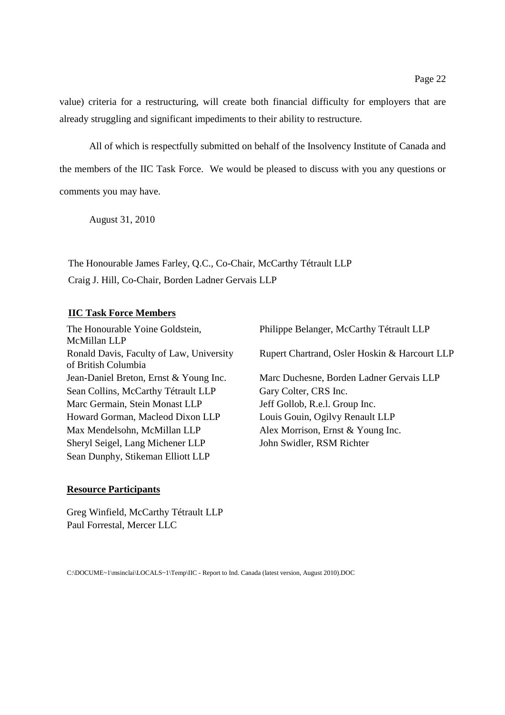value) criteria for a restructuring, will create both financial difficulty for employers that are already struggling and significant impediments to their ability to restructure.

All of which is respectfully submitted on behalf of the Insolvency Institute of Canada and the members of the IIC Task Force. We would be pleased to discuss with you any questions or comments you may have.

August 31, 2010

The Honourable James Farley, Q.C., Co-Chair, McCarthy Tétrault LLP Craig J. Hill, Co-Chair, Borden Ladner Gervais LLP

# **IIC Task Force Members**

The Honourable Yoine Goldstein, McMillan LLP Ronald Davis, Faculty of Law, University of British Columbia Sean Collins, McCarthy Tétrault LLP Gary Colter, CRS Inc. Marc Germain, Stein Monast LLP Jeff Gollob, R.e.l. Group Inc. Howard Gorman, Macleod Dixon LLP Louis Gouin, Ogilvy Renault LLP Max Mendelsohn, McMillan LLP Alex Morrison, Ernst & Young Inc. Sheryl Seigel, Lang Michener LLP John Swidler, RSM Richter Sean Dunphy, Stikeman Elliott LLP

Philippe Belanger, McCarthy Tétrault LLP Rupert Chartrand, Osler Hoskin & Harcourt LLP Jean-Daniel Breton, Ernst & Young Inc. Marc Duchesne, Borden Ladner Gervais LLP

# **Resource Participants**

Greg Winfield, McCarthy Tétrault LLP Paul Forrestal, Mercer LLC

C:\DOCUME~1\msinclai\LOCALS~1\Temp\IIC - Report to Ind. Canada (latest version, August 2010).DOC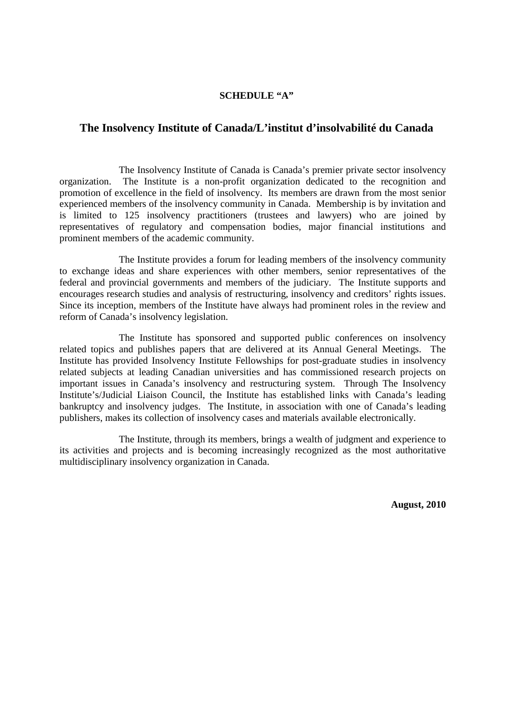## **SCHEDULE "A"**

# **The Insolvency Institute of Canada/L'institut d'insolvabilité du Canada**

The Insolvency Institute of Canada is Canada's premier private sector insolvency organization. The Institute is a non-profit organization dedicated to the recognition and promotion of excellence in the field of insolvency. Its members are drawn from the most senior experienced members of the insolvency community in Canada. Membership is by invitation and is limited to 125 insolvency practitioners (trustees and lawyers) who are joined by representatives of regulatory and compensation bodies, major financial institutions and prominent members of the academic community.

The Institute provides a forum for leading members of the insolvency community to exchange ideas and share experiences with other members, senior representatives of the federal and provincial governments and members of the judiciary. The Institute supports and encourages research studies and analysis of restructuring, insolvency and creditors' rights issues. Since its inception, members of the Institute have always had prominent roles in the review and reform of Canada's insolvency legislation.

The Institute has sponsored and supported public conferences on insolvency related topics and publishes papers that are delivered at its Annual General Meetings. The Institute has provided Insolvency Institute Fellowships for post-graduate studies in insolvency related subjects at leading Canadian universities and has commissioned research projects on important issues in Canada's insolvency and restructuring system. Through The Insolvency Institute's/Judicial Liaison Council, the Institute has established links with Canada's leading bankruptcy and insolvency judges. The Institute, in association with one of Canada's leading publishers, makes its collection of insolvency cases and materials available electronically.

The Institute, through its members, brings a wealth of judgment and experience to its activities and projects and is becoming increasingly recognized as the most authoritative multidisciplinary insolvency organization in Canada.

**August, 2010**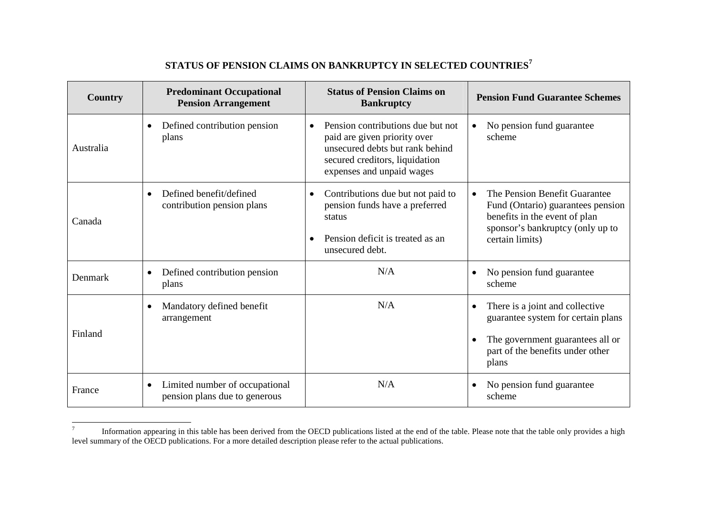# **STATUS OF PENSION CLAIMS ON BANKRUPTCY IN SELECTED COUNTRIES<sup>7</sup>**

| <b>Country</b> | <b>Predominant Occupational</b><br><b>Pension Arrangement</b>                | <b>Status of Pension Claims on</b><br><b>Bankruptcy</b>                                                                                                             | <b>Pension Fund Guarantee Schemes</b>                                                                                                                                   |
|----------------|------------------------------------------------------------------------------|---------------------------------------------------------------------------------------------------------------------------------------------------------------------|-------------------------------------------------------------------------------------------------------------------------------------------------------------------------|
| Australia      | Defined contribution pension<br>$\bullet$<br>plans                           | Pension contributions due but not<br>paid are given priority over<br>unsecured debts but rank behind<br>secured creditors, liquidation<br>expenses and unpaid wages | No pension fund guarantee<br>$\bullet$<br>scheme                                                                                                                        |
| Canada         | Defined benefit/defined<br>$\bullet$<br>contribution pension plans           | Contributions due but not paid to<br>$\bullet$<br>pension funds have a preferred<br>status<br>Pension deficit is treated as an<br>unsecured debt.                   | The Pension Benefit Guarantee<br>$\bullet$<br>Fund (Ontario) guarantees pension<br>benefits in the event of plan<br>sponsor's bankruptcy (only up to<br>certain limits) |
| Denmark        | Defined contribution pension<br>$\bullet$<br>plans                           | N/A                                                                                                                                                                 | No pension fund guarantee<br>$\bullet$<br>scheme                                                                                                                        |
| Finland        | Mandatory defined benefit<br>$\bullet$<br>arrangement                        | N/A                                                                                                                                                                 | There is a joint and collective<br>$\bullet$<br>guarantee system for certain plans<br>The government guarantees all or<br>part of the benefits under other<br>plans     |
| France         | Limited number of occupational<br>$\bullet$<br>pension plans due to generous | N/A                                                                                                                                                                 | No pension fund guarantee<br>scheme                                                                                                                                     |

Information appearing in this table has been derived from the OECD publications listed at the end of the table. Please note that the table only provides a high level summary of the OECD publications. For a more detailed description please refer to the actual publications.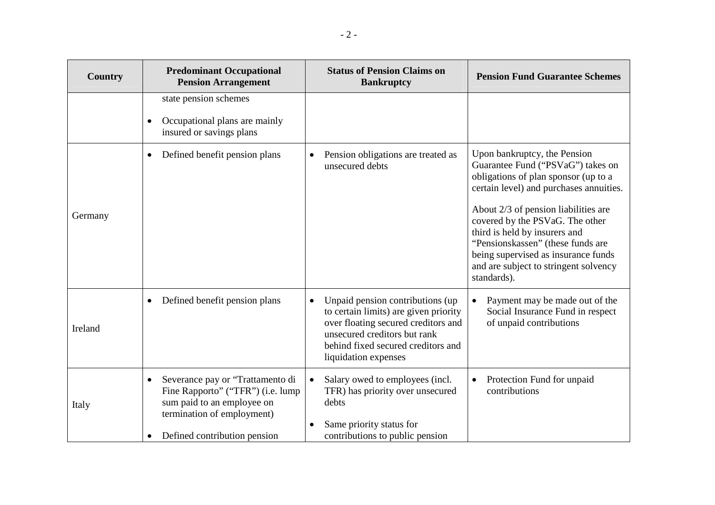| <b>Country</b> | <b>Predominant Occupational</b><br><b>Pension Arrangement</b>                                                                                                                  | <b>Status of Pension Claims on</b><br><b>Bankruptcy</b>                                                                                                                                                                      | <b>Pension Fund Guarantee Schemes</b>                                                                                                                                                                                                                                                                                                                                                                |
|----------------|--------------------------------------------------------------------------------------------------------------------------------------------------------------------------------|------------------------------------------------------------------------------------------------------------------------------------------------------------------------------------------------------------------------------|------------------------------------------------------------------------------------------------------------------------------------------------------------------------------------------------------------------------------------------------------------------------------------------------------------------------------------------------------------------------------------------------------|
|                | state pension schemes<br>Occupational plans are mainly<br>insured or savings plans                                                                                             |                                                                                                                                                                                                                              |                                                                                                                                                                                                                                                                                                                                                                                                      |
| Germany        | Defined benefit pension plans<br>$\bullet$                                                                                                                                     | Pension obligations are treated as<br>$\bullet$<br>unsecured debts                                                                                                                                                           | Upon bankruptcy, the Pension<br>Guarantee Fund ("PSVaG") takes on<br>obligations of plan sponsor (up to a<br>certain level) and purchases annuities.<br>About 2/3 of pension liabilities are<br>covered by the PSVaG. The other<br>third is held by insurers and<br>"Pensionskassen" (these funds are<br>being supervised as insurance funds<br>and are subject to stringent solvency<br>standards). |
| Ireland        | Defined benefit pension plans<br>$\bullet$                                                                                                                                     | Unpaid pension contributions (up)<br>$\bullet$<br>to certain limits) are given priority<br>over floating secured creditors and<br>unsecured creditors but rank<br>behind fixed secured creditors and<br>liquidation expenses | Payment may be made out of the<br>Social Insurance Fund in respect<br>of unpaid contributions                                                                                                                                                                                                                                                                                                        |
| Italy          | Severance pay or "Trattamento di<br>Fine Rapporto" ("TFR") (i.e. lump<br>sum paid to an employee on<br>termination of employment)<br>Defined contribution pension<br>$\bullet$ | Salary owed to employees (incl.<br>$\bullet$<br>TFR) has priority over unsecured<br>debts<br>Same priority status for<br>$\bullet$<br>contributions to public pension                                                        | Protection Fund for unpaid<br>contributions                                                                                                                                                                                                                                                                                                                                                          |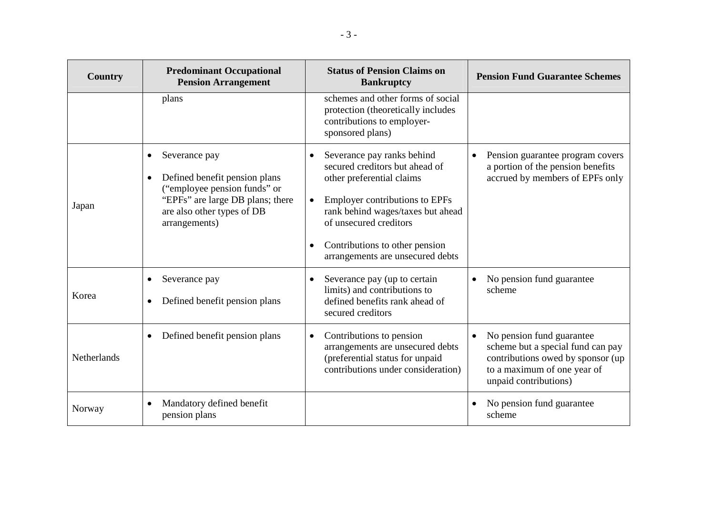| Country     | <b>Predominant Occupational</b><br><b>Pension Arrangement</b>                                                                                                                               | <b>Status of Pension Claims on</b><br><b>Bankruptcy</b>                                                                                                                                                                                                                                           | <b>Pension Fund Guarantee Schemes</b>                                                                                                                                    |
|-------------|---------------------------------------------------------------------------------------------------------------------------------------------------------------------------------------------|---------------------------------------------------------------------------------------------------------------------------------------------------------------------------------------------------------------------------------------------------------------------------------------------------|--------------------------------------------------------------------------------------------------------------------------------------------------------------------------|
|             | plans                                                                                                                                                                                       | schemes and other forms of social<br>protection (theoretically includes<br>contributions to employer-<br>sponsored plans)                                                                                                                                                                         |                                                                                                                                                                          |
| Japan       | Severance pay<br>$\bullet$<br>Defined benefit pension plans<br>$\bullet$<br>("employee pension funds" or<br>"EPFs" are large DB plans; there<br>are also other types of DB<br>arrangements) | Severance pay ranks behind<br>$\bullet$<br>secured creditors but ahead of<br>other preferential claims<br><b>Employer contributions to EPFs</b><br>$\bullet$<br>rank behind wages/taxes but ahead<br>of unsecured creditors<br>Contributions to other pension<br>arrangements are unsecured debts | Pension guarantee program covers<br>$\bullet$<br>a portion of the pension benefits<br>accrued by members of EPFs only                                                    |
| Korea       | Severance pay<br>Defined benefit pension plans<br>$\bullet$                                                                                                                                 | Severance pay (up to certain<br>$\bullet$<br>limits) and contributions to<br>defined benefits rank ahead of<br>secured creditors                                                                                                                                                                  | No pension fund guarantee<br>scheme                                                                                                                                      |
| Netherlands | Defined benefit pension plans<br>$\bullet$                                                                                                                                                  | Contributions to pension<br>$\bullet$<br>arrangements are unsecured debts<br>(preferential status for unpaid<br>contributions under consideration)                                                                                                                                                | No pension fund guarantee<br>$\bullet$<br>scheme but a special fund can pay<br>contributions owed by sponsor (up<br>to a maximum of one year of<br>unpaid contributions) |
| Norway      | Mandatory defined benefit<br>$\bullet$<br>pension plans                                                                                                                                     |                                                                                                                                                                                                                                                                                                   | No pension fund guarantee<br>scheme                                                                                                                                      |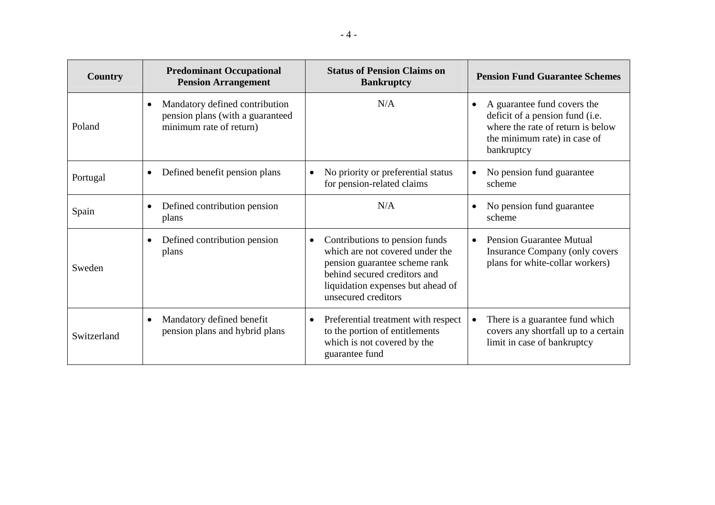| Country     | <b>Predominant Occupational</b><br><b>Pension Arrangement</b>                                 | <b>Status of Pension Claims on</b><br><b>Bankruptcy</b>                                                                                                                                                     | <b>Pension Fund Guarantee Schemes</b>                                                                                                             |
|-------------|-----------------------------------------------------------------------------------------------|-------------------------------------------------------------------------------------------------------------------------------------------------------------------------------------------------------------|---------------------------------------------------------------------------------------------------------------------------------------------------|
| Poland      | Mandatory defined contribution<br>pension plans (with a guaranteed<br>minimum rate of return) | N/A                                                                                                                                                                                                         | A guarantee fund covers the<br>deficit of a pension fund (i.e.<br>where the rate of return is below<br>the minimum rate) in case of<br>bankruptcy |
| Portugal    | Defined benefit pension plans<br>$\bullet$                                                    | No priority or preferential status<br>$\bullet$<br>for pension-related claims                                                                                                                               | No pension fund guarantee<br>scheme                                                                                                               |
| Spain       | Defined contribution pension<br>$\bullet$<br>plans                                            | N/A                                                                                                                                                                                                         | No pension fund guarantee<br>scheme                                                                                                               |
| Sweden      | Defined contribution pension<br>$\bullet$<br>plans                                            | Contributions to pension funds<br>$\bullet$<br>which are not covered under the<br>pension guarantee scheme rank<br>behind secured creditors and<br>liquidation expenses but ahead of<br>unsecured creditors | <b>Pension Guarantee Mutual</b><br>$\bullet$<br>Insurance Company (only covers<br>plans for white-collar workers)                                 |
| Switzerland | Mandatory defined benefit<br>$\bullet$<br>pension plans and hybrid plans                      | Preferential treatment with respect<br>$\bullet$<br>to the portion of entitlements<br>which is not covered by the<br>guarantee fund                                                                         | There is a guarantee fund which<br>$\bullet$<br>covers any shortfall up to a certain<br>limit in case of bankruptcy                               |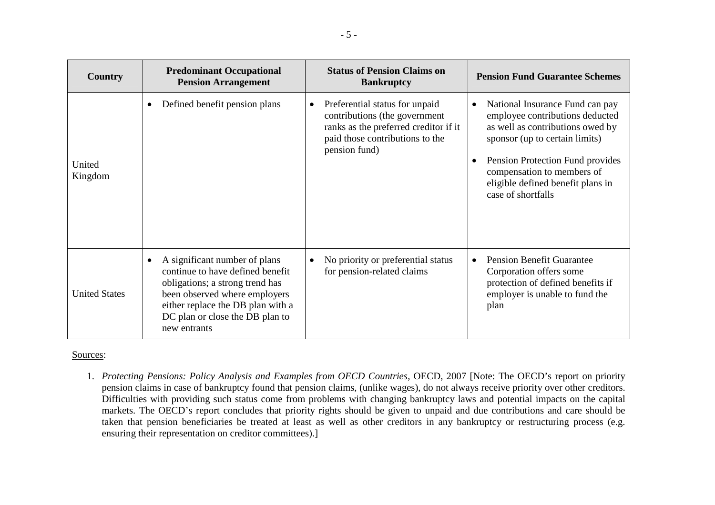| Country              | <b>Predominant Occupational</b><br><b>Pension Arrangement</b>                                                                                                                                                                 | <b>Status of Pension Claims on</b><br><b>Bankruptcy</b>                                                                                                                   | <b>Pension Fund Guarantee Schemes</b>                                                                                                                                                                                                                                              |
|----------------------|-------------------------------------------------------------------------------------------------------------------------------------------------------------------------------------------------------------------------------|---------------------------------------------------------------------------------------------------------------------------------------------------------------------------|------------------------------------------------------------------------------------------------------------------------------------------------------------------------------------------------------------------------------------------------------------------------------------|
| United<br>Kingdom    | Defined benefit pension plans                                                                                                                                                                                                 | Preferential status for unpaid<br>$\bullet$<br>contributions (the government<br>ranks as the preferred creditor if it<br>paid those contributions to the<br>pension fund) | National Insurance Fund can pay<br>$\bullet$<br>employee contributions deducted<br>as well as contributions owed by<br>sponsor (up to certain limits)<br>Pension Protection Fund provides<br>compensation to members of<br>eligible defined benefit plans in<br>case of shortfalls |
| <b>United States</b> | A significant number of plans<br>continue to have defined benefit<br>obligations; a strong trend has<br>been observed where employers<br>either replace the DB plan with a<br>DC plan or close the DB plan to<br>new entrants | No priority or preferential status<br>$\bullet$<br>for pension-related claims                                                                                             | <b>Pension Benefit Guarantee</b><br>$\bullet$<br>Corporation offers some<br>protection of defined benefits if<br>employer is unable to fund the<br>plan                                                                                                                            |

# Sources:

1. *Protecting Pensions: Policy Analysis and Examples from OECD Countries*, OECD, 2007 [Note: The OECD's report on priority pension claims in case of bankruptcy found that pension claims, (unlike wages), do not always receive priority over other creditors. Difficulties with providing such status come from problems with changing bankruptcy laws and potential impacts on the capital markets. The OECD's report concludes that priority rights should be given to unpaid and due contributions and care should be taken that pension beneficiaries be treated at least as well as other creditors in any bankruptcy or restructuring process (e.g. ensuring their representation on creditor committees).]